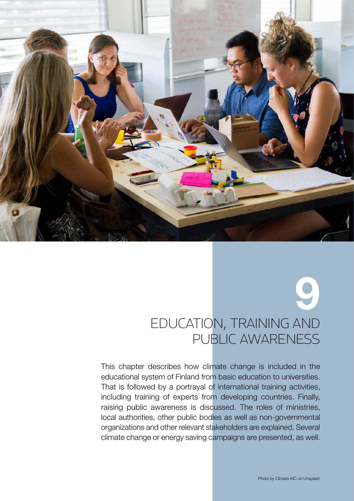

# 9 Education, training and public awareness

This chapter describes how climate change is included in the educational system of Finland from basic education to universities. That is followed by a portrayal of international training activities, including training of experts from developing countries. Finally, raising public awareness is discussed. The roles of ministries, local authorities, other public bodies as well as non-governmental organizations and other relevant stakeholders are explained. Several climate change or energy saving campaigns are presented, as well.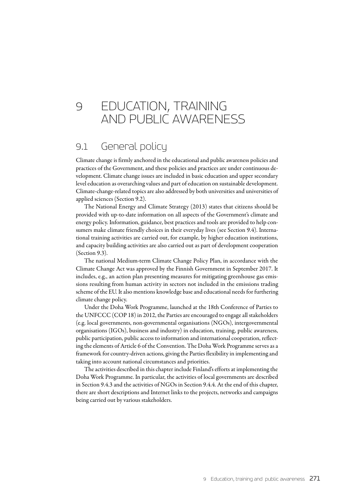# 9 EDUCATION, TRAINING and public awareness

# 9.1 General policy

Climate change is firmly anchored in the educational and public awareness policies and practices of the Government, and these policies and practices are under continuous development. Climate change issues are included in basic education and upper secondary level education as overarching values and part of education on sustainable development. Climate-change-related topics are also addressed by both universities and universities of applied sciences (Section 9.2).

The National Energy and Climate Strategy (2013) states that citizens should be provided with up-to-date information on all aspects of the Government's climate and energy policy. Information, guidance, best practices and tools are provided to help consumers make climate friendly choices in their everyday lives (see Section 9.4). International training activities are carried out, for example, by higher education institutions, and capacity building activities are also carried out as part of development cooperation (Section 9.3).

The national Medium-term Climate Change Policy Plan, in accordance with the Climate Change Act was approved by the Finnish Government in September 2017. It includes, e.g., an action plan presenting measures for mitigating greenhouse gas emissions resulting from human activity in sectors not included in the emissions trading scheme of the EU. It also mentions knowledge base and educational needs for furthering climate change policy.

Under the Doha Work Programme, launched at the 18th Conference of Parties to the UNFCCC (COP 18) in 2012, the Parties are encouraged to engage all stakeholders (e.g. local governments, non-governmental organisations (NGOs), intergovernmental organisations (IGOs), business and industry) in education, training, public awareness, public participation, public access to information and international cooperation, reflecting the elements of Article 6 of the Convention. The Doha Work Programme serves as a framework for country-driven actions, giving the Parties flexibility in implementing and taking into account national circumstances and priorities.

The activities described in this chapter include Finland's efforts at implementing the Doha Work Programme. In particular, the activities of local governments are described in Section 9.4.3 and the activities of NGOs in Section 9.4.4. At the end of this chapter, there are short descriptions and Internet links to the projects, networks and campaigns being carried out by various stakeholders.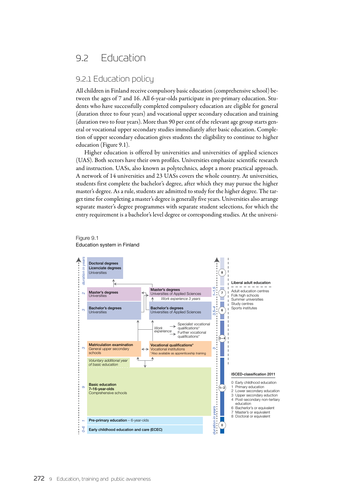# 9.2 Education

# 9.2.1 Education policy

All children in Finland receive compulsory basic education (comprehensive school) between the ages of 7 and 16. All 6-year-olds participate in pre-primary education. Students who have successfully completed compulsory education are eligible for general (duration three to four years) and vocational upper secondary education and training (duration two to four years). More than 90 per cent of the relevant age group starts general or vocational upper secondary studies immediately after basic education. Completion of upper secondary education gives students the eligibility to continue to higher education (Figure 9.1).

Higher education is offered by universities and universities of applied sciences (UAS). Both sectors have their own profiles. Universities emphasize scientific research and instruction. UASs, also known as polytechnics, adopt a more practical approach. A network of 14 universities and 23 UASs covers the whole country. At universities, students first complete the bachelor's degree, after which they may pursue the higher master's degree. As a rule, students are admitted to study for the higher degree. The target time for completing a master's degree is generally five years. Universities also arrange separate master's degree programmes with separate student selections, for which the entry requirement is a bachelor's level degree or corresponding studies. At the universi-



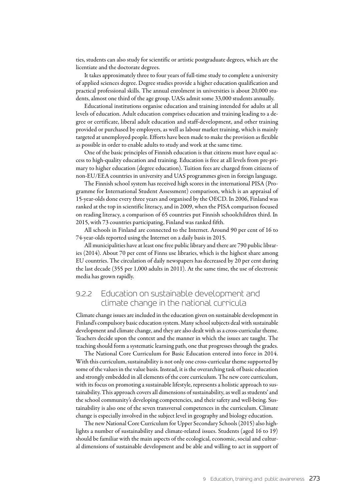ties, students can also study for scientific or artistic postgraduate degrees, which are the licentiate and the doctorate degrees.

It takes approximately three to four years of full-time study to complete a university of applied sciences degree. Degree studies provide a higher education qualification and practical professional skills. The annual enrolment in universities is about 20,000 students, almost one third of the age group. UASs admit some 33,000 students annually.

Educational institutions organise education and training intended for adults at all levels of education. Adult education comprises education and training leading to a degree or certificate, liberal adult education and staff-development, and other training provided or purchased by employers, as well as labour market training, which is mainly targeted at unemployed people. Efforts have been made to make the provision as flexible as possible in order to enable adults to study and work at the same time.

One of the basic principles of Finnish education is that citizens must have equal access to high-quality education and training. Education is free at all levels from pre-primary to higher education (degree education). Tuition fees are charged from citizens of non-EU/EEA countries in university and UAS programmes given in foreign language.

The Finnish school system has received high scores in the international PISA (Programme for International Student Assessment) comparison, which is an appraisal of 15-year-olds done every three years and organised by the OECD. In 2006, Finland was ranked at the top in scientific literacy, and in 2009, when the PISA comparison focused on reading literacy, a comparison of 65 countries put Finnish schoolchildren third. In 2015, with 73 countries participating, Finland was ranked fifth.

All schools in Finland are connected to the Internet. Around 90 per cent of 16 to 74-year-olds reported using the Internet on a daily basis in 2015.

All municipalities have at least one free public library and there are 790 public libraries (2014). About 70 per cent of Finns use libraries, which is the highest share among EU countries. The circulation of daily newspapers has decreased by 20 per cent during the last decade (355 per 1,000 adults in 2011). At the same time, the use of electronic media has grown rapidly.

# 9.2.2 Education on sustainable development and climate change in the national curricula

Climate change issues are included in the education given on sustainable development in Finland's compulsory basic education system. Many school subjects deal with sustainable development and climate change, and they are also dealt with as a cross-curricular theme. Teachers decide upon the context and the manner in which the issues are taught. The teaching should form a systematic learning path, one that progresses through the grades.

The National Core Curriculum for Basic Education entered into force in 2014. With this curriculum, sustainability is not only one cross-curricular theme supported by some of the values in the value basis. Instead, it is the overarching task of basic education and strongly embedded in all elements of the core curriculum. The new core curriculum, with its focus on promoting a sustainable lifestyle, represents a holistic approach to sustainability. This approach covers all dimensions of sustainability, as well as students' and the school community's developing competencies, and their safety and well-being. Sustainability is also one of the seven transversal competences in the curriculum. Climate change is especially involved in the subject level in geography and biology education.

The new National Core Curriculum for Upper Secondary Schools (2015) also highlights a number of sustainability and climate-related issues. Students (aged 16 to 19) should be familiar with the main aspects of the ecological, economic, social and cultural dimensions of sustainable development and be able and willing to act in support of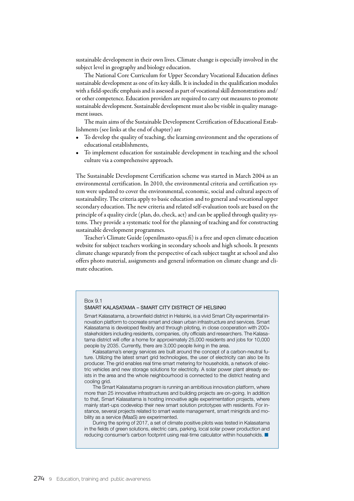sustainable development in their own lives. Climate change is especially involved in the subject level in geography and biology education.

The National Core Curriculum for Upper Secondary Vocational Education defines sustainable development as one of its key skills. It is included in the qualification modules with a field-specific emphasis and is assessed as part of vocational skill demonstrations and/ or other competence. Education providers are required to carry out measures to promote sustainable development. Sustainable development must also be visible in quality management issues.

The main aims of the Sustainable Development Certification of Educational Establishments (see links at the end of chapter) are

- To develop the quality of teaching, the learning environment and the operations of educational establishments,
- To implement education for sustainable development in teaching and the school culture via a comprehensive approach.

The Sustainable Development Certification scheme was started in March 2004 as an environmental certification. In 2010, the environmental criteria and certification system were updated to cover the environmental, economic, social and cultural aspects of sustainability. The criteria apply to basic education and to general and vocational upper secondary education. The new criteria and related self-evaluation tools are based on the principle of a quality circle (plan, do, check, act) and can be applied through quality systems. They provide a systematic tool for the planning of teaching and for constructing sustainable development programmes.

Teacher's Climate Guide (openilmasto-opas.fi) is a free and open climate education website for subject teachers working in secondary schools and high schools. It presents climate change separately from the perspective of each subject taught at school and also offers photo material, assignments and general information on climate change and climate education.

#### Box 9.1

### SMART KALASATAMA – SMART CITY DISTRICT OF HELSINKI

Smart Kalasatama, a brownfield district in Helsinki, is a vivid Smart City experimental innovation platform to cocreate smart and clean urban infrastructure and services. Smart Kalasatama is developed flexibly and through piloting, in close cooperation with 200+ stakeholders including residents, companies, city officials and researchers. The Kalasatama district will offer a home for approximately 25,000 residents and jobs for 10,000 people by 2035. Currently, there are 3,000 people living in the area.

Kalasatama's energy services are built around the concept of a carbon-neutral future. Utilizing the latest smart grid technologies, the user of electricity can also be its producer. The grid enables real time smart metering for households, a network of electric vehicles and new storage solutions for electricity. A solar power plant already exists in the area and the whole neighbourhood is connected to the district heating and cooling grid.

The Smart Kalasatama program is running an ambitious innovation platform, where more than 25 innovative infrastructures and building projects are on-going. In addition to that, Smart Kalasatama is hosting innovative agile experimentation projects, where mainly start-ups codevelop their new smart solution prototypes with residents. For instance, several projects related to smart waste management, smart minigrids and mobility as a service (MaaS) are experimented.

During the spring of 2017, a set of climate positive pilots was tested in Kalasatama in the fields of green solutions, electric cars, parking, local solar power production and reducing consumer's carbon footprint using real-time calculator within households. ■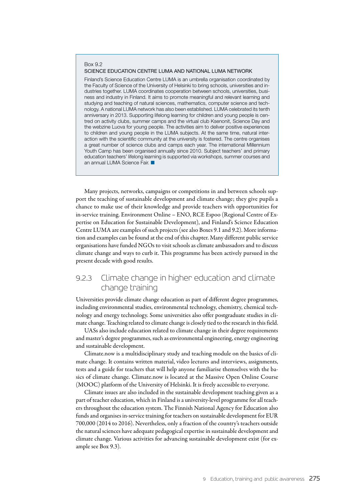#### Box 9.2 SCIENCE EDUCATION CENTRE LUMA AND NATIONAL LUMA NETWORK

Finland's Science Education Centre LUMA is an umbrella organisation coordinated by the Faculty of Science of the University of Helsinki to bring schools, universities and industries together. LUMA coordinates cooperation between schools, universities, business and industry in Finland. It aims to promote meaningful and relevant learning and studying and teaching of natural sciences, mathematics, computer science and technology. A national LUMA network has also been established. LUMA celebrated its tenth anniversary in 2013. Supporting lifelong learning for children and young people is centred on activity clubs, summer camps and the virtual club Ksenonit, Science Day and the webzine Luova for young people. The activities aim to deliver positive experiences to children and young people in the LUMA subjects. At the same time, natural interaction with the scientific community at the university is fostered. The centre organises a great number of science clubs and camps each year. The international Millennium Youth Camp has been organised annually since 2010. Subject teachers' and primary education teachers' lifelong learning is supported via workshops, summer courses and an annual LUMA Science Fair. ■

Many projects, networks, campaigns or competitions in and between schools support the teaching of sustainable development and climate change; they give pupils a chance to make use of their knowledge and provide teachers with opportunities for in-service training. Environment Online – ENO, RCE Espoo (Regional Centre of Expertise on Education for Sustainable Development), and Finland's Science Education Centre LUMA are examples of such projects (see also Boxes 9.1 and 9.2). More information and examples can be found at the end of this chapter. Many different public service organisations have funded NGOs to visit schools as climate ambassadors and to discuss climate change and ways to curb it. This programme has been actively pursued in the present decade with good results.

# 9.2.3 Climate change in higher education and climate change training

Universities provide climate change education as part of different degree programmes, including environmental studies, environmental technology, chemistry, chemical technology and energy technology. Some universities also offer postgraduate studies in climate change. Teaching related to climate change is closely tied to the research in this field.

UASs also include education related to climate change in their degree requirements and master's degree programmes, such as environmental engineering, energy engineering and sustainable development.

Climate.now is a multidisciplinary study and teaching module on the basics of climate change. It contains written material, video lectures and interviews, assignments, tests and a guide for teachers that will help anyone familiarise themselves with the basics of climate change. Climate.now is located at the Massive Open Online Course (MOOC) platform of the University of Helsinki. It is freely accessible to everyone.

Climate issues are also included in the sustainable development teaching given as a part of teacher education, which in Finland is a university-level programme for all teachers throughout the education system. The Finnish National Agency for Education also funds and organises in-service training for teachers on sustainable development for EUR 700,000 (2014 to 2016). Nevertheless, only a fraction of the country's teachers outside the natural sciences have adequate pedagogical expertise in sustainable development and climate change. Various activities for advancing sustainable development exist (for example see Box 9.3).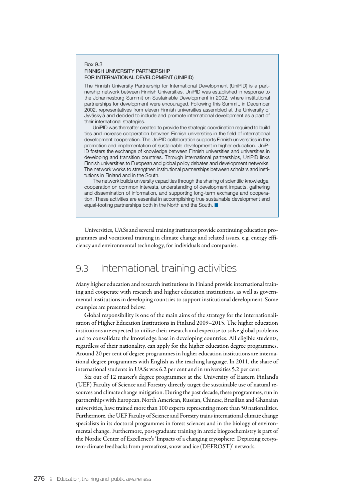### Box 9.3 FINNISH UNIVERSITY PARTNERSHIP FOR INTERNATIONAL DEVELOPMENT (UNIPID)

The Finnish University Partnership for International Development (UniPID) is a partnership network between Finnish Universities. UniPID was established in response to the Johannesburg Summit on Sustainable Development in 2002, where institutional partnerships for development were encouraged. Following this Summit, in December 2002, representatives from eleven Finnish universities assembled at the University of Jyväskylä and decided to include and promote international development as a part of their international strategies.

UniPID was thereafter created to provide the strategic coordination required to build ties and increase cooperation between Finnish universities in the field of international development cooperation. The UniPID collaboration supports Finnish universities in the promotion and implementation of sustainable development in higher education. UniP-ID fosters the exchange of knowledge between Finnish universities and universities in developing and transition countries. Through international partnerships, UniPID links Finnish universities to European and global policy debates and development networks. The network works to strengthen institutional partnerships between scholars and institutions in Finland and in the South.

The network builds university capacities through the sharing of scientific knowledge, cooperation on common interests, understanding of development impacts, gathering and dissemination of information, and supporting long-term exchange and cooperation. These activities are essential in accomplishing true sustainable development and equal-footing partnerships both in the North and the South. ■

Universities, UASs and several training institutes provide continuing education programmes and vocational training in climate change and related issues, e.g. energy efficiency and environmental technology, for individuals and companies.

# 9.3 International training activities

Many higher education and research institutions in Finland provide international training and cooperate with research and higher education institutions, as well as governmental institutions in developing countries to support institutional development. Some examples are presented below.

Global responsibility is one of the main aims of the strategy for the Internationalisation of Higher Education Institutions in Finland 2009–2015. The higher education institutions are expected to utilise their research and expertise to solve global problems and to consolidate the knowledge base in developing countries. All eligible students, regardless of their nationality, can apply for the higher education degree programmes. Around 20 per cent of degree programmes in higher education institutions are international degree programmes with English as the teaching language. In 2011, the share of international students in UASs was 6.2 per cent and in universities 5.2 per cent.

Six out of 12 master's degree programmes at the University of Eastern Finland's (UEF) Faculty of Science and Forestry directly target the sustainable use of natural resources and climate change mitigation. During the past decade, these programmes, run in partnerships with European, North American, Russian, Chinese, Brazilian and Ghanaian universities, have trained more than 100 experts representing more than 50 nationalities. Furthermore, the UEF Faculty of Science and Forestry trains international climate change specialists in its doctoral programmes in forest sciences and in the biology of environmental change. Furthermore, post-graduate training in arctic biogeochemistry is part of the Nordic Center of Excellence's 'Impacts of a changing cryosphere: Depicting ecosystem-climate feedbacks from permafrost, snow and ice (DEFROST)' network.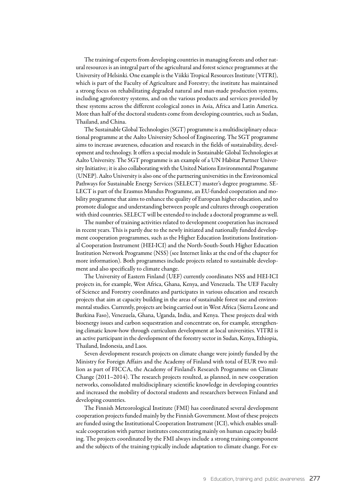The training of experts from developing countries in managing forests and other natural resources is an integral part of the agricultural and forest science programmes at the University of Helsinki. One example is the Viikki Tropical Resources Institute (VITRI), which is part of the Faculty of Agriculture and Forestry; the institute has maintained a strong focus on rehabilitating degraded natural and man-made production systems, including agroforestry systems, and on the various products and services provided by these systems across the different ecological zones in Asia, Africa and Latin America. More than half of the doctoral students come from developing countries, such as Sudan, Thailand, and China.

The Sustainable Global Technologies (SGT) programme is a multidisciplinary educational programme at the Aalto University School of Engineering. The SGT programme aims to increase awareness, education and research in the fields of sustainability, development and technology. It offers a special module in Sustainable Global Technologies at Aalto University. The SGT programme is an example of a UN Habitat Partner University Initiative; it is also collaborating with the United Nations Environmental Progamme (UNEP). Aalto University is also one of the partnering universities in the Environomical Pathways for Sustainable Energy Services (SELECT) master's degree programme. SE-LECT is part of the Erasmus Mundus Programme, an EU-funded cooperation and mobility programme that aims to enhance the quality of European higher education, and to promote dialogue and understanding between people and cultures through cooperation with third countries. SELECT will be extended to include a doctoral programme as well.

The number of training activities related to development cooperation has increased in recent years. This is partly due to the newly initiated and nationally funded development cooperation programmes, such as the Higher Education Institutions Institutional Cooperation Instrument (HEI-ICI) and the North-South-South Higher Education Institution Network Programme (NSS) (see Internet links at the end of the chapter for more information). Both programmes include projects related to sustainable development and also specifically to climate change.

The University of Eastern Finland (UEF) currently coordinates NSS and HEI-ICI projects in, for example, West Africa, Ghana, Kenya, and Venezuela. The UEF Faculty of Science and Forestry coordinates and participates in various education and research projects that aim at capacity building in the areas of sustainable forest use and environmental studies. Currently, projects are being carried out in West Africa (Sierra Leone and Burkina Faso), Venezuela, Ghana, Uganda, India, and Kenya. These projects deal with bioenergy issues and carbon sequestration and concentrate on, for example, strengthening climatic know-how through curriculum development at local universities. VITRI is an active participant in the development of the forestry sector in Sudan, Kenya, Ethiopia, Thailand, Indonesia, and Laos.

Seven development research projects on climate change were jointly funded by the Ministry for Foreign Affairs and the Academy of Finland with total of EUR two million as part of FICCA, the Academy of Finland's Research Programme on Climate Change (2011–2014). The research projects resulted, as planned, in new cooperation networks, consolidated multidisciplinary scientific knowledge in developing countries and increased the mobility of doctoral students and researchers between Finland and developing countries.

The Finnish Meteorological Institute (FMI) has coordinated several development cooperation projects funded mainly by the Finnish Government. Most of these projects are funded using the Institutional Cooperation Instrument (ICI), which enables smallscale cooperation with partner institutes concentrating mainly on human capacity building. The projects coordinated by the FMI always include a strong training component and the subjects of the training typically include adaptation to climate change. For ex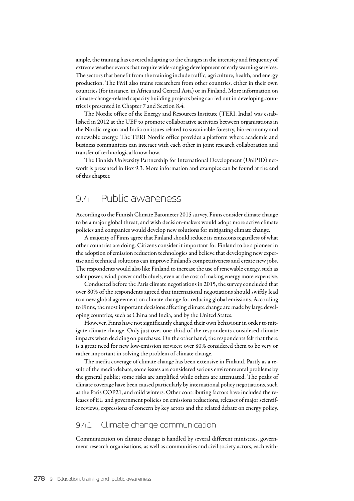ample, the training has covered adapting to the changes in the intensity and frequency of extreme weather events that require wide-ranging development of early warning services. The sectors that benefit from the training include traffic, agriculture, health, and energy production. The FMI also trains researchers from other countries, either in their own countries (for instance, in Africa and Central Asia) or in Finland. More information on climate-change-related capacity building projects being carried out in developing countries is presented in Chapter 7 and Section 8.4.

The Nordic office of the Energy and Resources Institute (TERI, India) was established in 2012 at the UEF to promote collaborative activities between organisations in the Nordic region and India on issues related to sustainable forestry, bio-economy and renewable energy. The TERI Nordic office provides a platform where academic and business communities can interact with each other in joint research collaboration and transfer of technological know-how.

The Finnish University Partnership for International Development (UniPID) network is presented in Box 9.3. More information and examples can be found at the end of this chapter.

# 9.4 Public awareness

According to the Finnish Climate Barometer 2015 survey, Finns consider climate change to be a major global threat, and wish decision-makers would adopt more active climate policies and companies would develop new solutions for mitigating climate change.

A majority of Finns agree that Finland should reduce its emissions regardless of what other countries are doing. Citizens consider it important for Finland to be a pioneer in the adoption of emission reduction technologies and believe that developing new expertise and technical solutions can improve Finland's competitiveness and create new jobs. The respondents would also like Finland to increase the use of renewable energy, such as solar power, wind power and biofuels, even at the cost of making energy more expensive.

Conducted before the Paris climate negotiations in 2015, the survey concluded that over 80% of the respondents agreed that international negotiations should swiftly lead to a new global agreement on climate change for reducing global emissions. According to Finns, the most important decisions affecting climate change are made by large developing countries, such as China and India, and by the United States.

However, Finns have not significantly changed their own behaviour in order to mitigate climate change. Only just over one-third of the respondents considered climate impacts when deciding on purchases. On the other hand, the respondents felt that there is a great need for new low-emission services: over 80% considered them to be very or rather important in solving the problem of climate change.

The media coverage of climate change has been extensive in Finland. Partly as a result of the media debate, some issues are considered serious environmental problems by the general public; some risks are amplified while others are attenuated. The peaks of climate coverage have been caused particularly by international policy negotiations, such as the Paris COP21, and mild winters. Other contributing factors have included the releases of EU and government policies on emissions reductions, releases of major scientific reviews, expressions of concern by key actors and the related debate on energy policy.

# 9.4.1 Climate change communication

Communication on climate change is handled by several different ministries, government research organisations, as well as communities and civil society actors, each with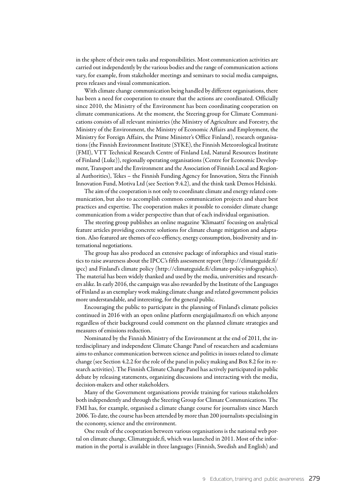in the sphere of their own tasks and responsibilities. Most communication activities are carried out independently by the various bodies and the range of communication actions vary, for example, from stakeholder meetings and seminars to social media campaigns, press releases and visual communication.

With climate change communication being handled by different organisations, there has been a need for cooperation to ensure that the actions are coordinated. Officially since 2010, the Ministry of the Environment has been coordinating cooperation on climate communications. At the moment, the Steering group for Climate Communications consists of all relevant ministries (the Ministry of Agriculture and Forestry, the Ministry of the Environment, the Ministry of Economic Affairs and Employment, the Ministry for Foreign Affairs, the Prime Minister's Office Finland), research organisations (the Finnish Environment Institute (SYKE), the Finnish Meteorological Institute (FMI), VTT Technical Research Centre of Finland Ltd, Natural Resources Institute of Finland (Luke)), regionally operating organisations (Centre for Economic Development, Transport and the Environment and the Association of Finnish Local and Regional Authorities), Tekes – the Finnish Funding Agency for Innovation, Sitra the Finnish Innovation Fund, Motiva Ltd (see Section 9.4.2), and the think tank Demos Helsinki.

The aim of the cooperation is not only to coordinate climate and energy related communication, but also to accomplish common communication projects and share best practices and expertise. The cooperation makes it possible to consider climate change communication from a wider perspective than that of each individual organisation.

The steering group publishes an online magazine 'Klimaatti' focusing on analytical feature articles providing concrete solutions for climate change mitigation and adaptation. Also featured are themes of eco-effiency, energy consumption, biodiversity and international negotiations.

The group has also produced an extensive package of inforaphics and visual statistics to raise awareness about the IPCC's fifth assessment report (http://climateguide.fi/ ipcc) and Finland's climate policy (http://climateguide.fi/climate-policy-infographics). The material has been widely thanked and used by the media, universities and researchers alike. In early 2016, the campaign was also rewarded by the Institute of the Languages of Finland as an exemplary work making climate change and related government policies more understandable, and interesting, for the general public.

Encouraging the public to participate in the planning of Finland's climate policies continued in 2016 with an open online platform energiajailmasto.fi on which anyone regardless of their background could comment on the planned climate strategies and measures of emissions reduction.

Nominated by the Finnish Ministry of the Environment at the end of 2011, the interdisciplinary and independent Climate Change Panel of researchers and academians aims to enhance communication between science and politics in issues related to climate change (see Section 4.2.2 for the role of the panel in policy making and Box 8.2 for its research activities). The Finnish Climate Change Panel has actively participated in public debate by releasing statements, organizing discussions and interacting with the media, decision-makers and other stakeholders.

Many of the Government organisations provide training for various stakeholders both independently and through the Steering Group for Climate Communications. The FMI has, for example, organised a climate change course for journalists since March 2006. To date, the course has been attended by more than 200 journalists specialising in the economy, science and the environment.

One result of the cooperation between various organisations is the national web portal on climate change, Climateguide.fi, which was launched in 2011. Most of the information in the portal is available in three languages (Finnish, Swedish and English) and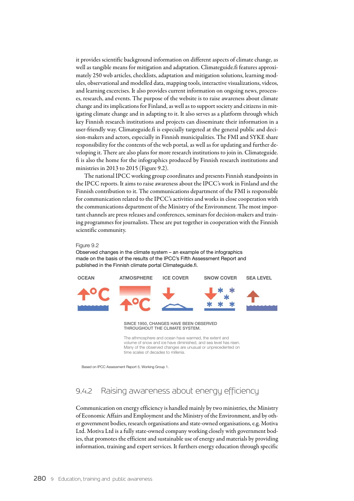it provides scientific background information on different aspects of climate change, as well as tangible means for mitigation and adaptation. Climateguide.fi features approximately 250 web articles, checklists, adaptation and mitigation solutions, learning modules, observational and modelled data, mapping tools, interactive visualizations, videos, and learning excercises. It also provides current information on ongoing news, processes, research, and events. The purpose of the website is to raise awareness about climate change and its implications for Finland, as well as to support society and citizens in mitigating climate change and in adapting to it. It also serves as a platform through which key Finnish research institutions and projects can disseminate their information in a user-friendly way. Climateguide.fi is especially targeted at the general public and decision-makers and actors, especially in Finnish municipalities. The FMI and SYKE share responsibility for the contents of the web portal, as well as for updating and further developing it. There are also plans for more research institutions to join in. Climateguide. fi is also the home for the infographics produced by Finnish research institutions and ministries in 2013 to 2015 (Figure 9.2).

The national IPCC working group coordinates and presents Finnish standpoints in the IPCC reports. It aims to raise awareness about the IPCC's work in Finland and the Finnish contribution to it. The communications department of the FMI is responsible for communication related to the IPCC's activities and works in close cooperation with the communications department of the Ministry of the Environment. The most important channels are press releases and conferences, seminars for decision-makers and training programmes for journalists. These are put together in cooperation with the Finnish scientific community.

#### Figure 9.2

Observed changes in the climate system – an example of the infographics made on the basis of the results of the IPCC's Fifth Assessment Report and published in the Finnish climate portal Climateguide.fi.



Based on IPCC Assessment Report 5, Working Group 1.

# 9.4.2 Raising awareness about energy efficiency

Communication on energy efficiency is handled mainly by two ministries, the Ministry of Economic Affairs and Employment and the Ministry of the Environment, and by other government bodies, research organisations and state-owned organisations, e.g. Motiva Ltd. Motiva Ltd is a fully state-owned company working closely with government bodies, that promotes the efficient and sustainable use of energy and materials by providing information, training and expert services. It furthers energy education through specific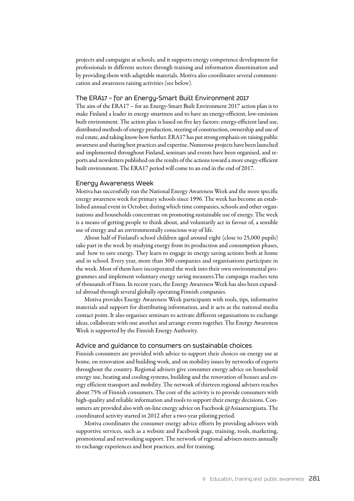projects and campaigns at schools, and it supports energy competence development for professionals in different sectors through training and information dissemination and by providing them with adaptable materials. Motiva also coordinates several communication and awareness raising activities (see below).

### The ERA17 – for an Energy-Smart Built Environment 2017

The aim of the ERA17 – for an Energy-Smart Built Environment 2017 action plan is to make Finland a leader in energy smartness and to have an energy-efficient, low-emission built environment. The action plan is based on five key factors: energy-efficient land use, distributed methods of energy production, steering of construction, ownership and use of real estate, and taking know-how further. ERA17 has put strong emphasis on raising public awareness and sharing best practices and expertise. Numerous projects have been launched and implemented throughout Finland, seminars and events have been organised, and reports and newsletters published on the results of the actions toward a more enegy-efficient built environment. The ERA17 period will come to an end in the end of 2017.

### Energy Awareness Week

Motiva has successfully run the National Energy Awareness Week and the more specific energy awareness week for primary schools since 1996. The week has become an established annual event in October, during which time companies, schools and other organisations and households concentrate on promoting sustainable use of energy. The week is a means of getting people to think about, and voluntarily act in favour of, a sensible use of energy and an environmentally conscious way of life.

About half of Finland's school children aged around eight (close to 25,000 pupils) take part in the week by studying energy from its production and consumption phases, and how to save energy. They learn to engage in energy saving actions both at home and in school. Every year, more than 300 companies and organisations participate in the week. Most of them have incorporated the week into their own environmental programmes and implement voluntary energy saving measures.The campaign reaches tens of thousands of Finns. In recent years, the Energy Awareness Week has also been expanded abroad through several globally operating Finnish companies.

Motiva provides Energy Awareness Week participants with tools, tips, informative materials and support for distributing information, and it acts as the national media contact point. It also organises seminars to activate different organisations to exchange ideas, collaborate with one another and arrange events together. The Energy Awareness Week is supported by the Finnish Energy Authority.

## Advice and guidance to consumers on sustainable choices

Finnish consumers are provided with advice to support their choices on energy use at home, on renovation and building work, and on mobility issues by networks of experts throughout the country. Regional advisers give consumer energy advice on household energy use, heating and cooling systems, building and the renovation of houses and energy efficient transport and mobility. The network of thirteen regional advisers reaches about 75% of Finnish consumers. The core of the activity is to provide consumers with high-quality and reliable information and tools to support their energy decisions. Consumers are provided also with on-line energy advice on Facebook @Asiaaenergiasta. The coordinated activity started in 2012 after a two-year piloting period.

Motiva coordinates the consumer energy advice efforts by providing advisers with supportive services, such as a website and Facebook page, training, tools, marketing, promotional and networking support. The network of regional advisers meets annually to exchange experiences and best practices, and for training.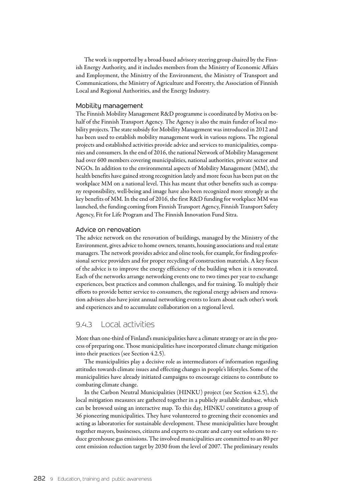The work is supported by a broad-based advisory steering group chaired by the Finnish Energy Authority, and it includes members from the Ministry of Economic Affairs and Employment, the Ministry of the Environment, the Ministry of Transport and Communications, the Ministry of Agriculture and Forestry, the Association of Finnish Local and Regional Authorities, and the Energy Industry.

### Mobility management

The Finnish Mobility Management R&D programme is coordinated by Motiva on behalf of the Finnish Transport Agency. The Agency is also the main funder of local mobility projects. The state subsidy for Mobility Management was introduced in 2012 and has been used to establish mobility management work in various regions. The regional projects and established activities provide advice and services to municipalities, companies and consumers. In the end of 2016, the national Network of Mobility Management had over 600 members covering municipalities, national authorities, private sector and NGOs. In addition to the environmental aspects of Mobility Management (MM), the health benefits have gained strong recognition lately and more focus has been put on the workplace MM on a national level. This has meant that other benefits such as company responsibility, well-being and image have also been recognized more strongly as the key benefits of MM. In the end of 2016, the first R&D funding for workplace MM was launched, the funding coming from Finnish Transport Agency, Finnish Transport Safety Agency, Fit for Life Program and The Finnish Innovation Fund Sitra.

### Advice on renovation

The advice network on the renovation of buildings, managed by the Ministry of the Environment, gives advice to home owners, tenants, housing associations and real estate managers. The network provides advice and oline tools, for example, for finding professional service providers and for proper recycling of construction materials. A key focus of the advice is to improve the energy efficiency of the building when it is renovated. Each of the networks arrange networking events one to two times per year to exchange experiences, best practices and common challenges, and for training. To multiply their efforts to provide better service to consumers, the regional energy advisers and renovation advisers also have joint annual networking events to learn about each other's work and experiences and to accumulate collaboration on a regional level.

# 9.4.3 Local activities

More than one-third of Finland's municipalities have a climate strategy or are in the process of preparing one. Those municipalities have incorporated climate change mitigation into their practices (see Section 4.2.5).

The municipalities play a decisive role as intermediators of information regarding attitudes towards climate issues and effecting changes in people's lifestyles. Some of the municipalities have already initiated campaigns to encourage citizens to contribute to combating climate change.

In the Carbon Neutral Municipalities (HINKU) project (see Section 4.2.5), the local mitigation measures are gathered together in a publicly available database, which can be browsed using an interactive map. To this day, HINKU constitutes a group of 36 pioneering municipalities. They have volunteered to greening their economies and acting as laboratories for sustainable development. These municipalities have brought together mayors, businesses, citizens and experts to create and carry out solutions to reduce greenhouse gas emissions. The involved municipalities are committed to an 80 per cent emission reduction target by 2030 from the level of 2007. The preliminary results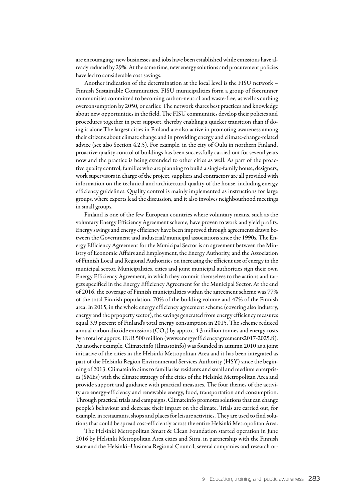are encouraging: new businesses and jobs have been established while emissions have already reduced by 29%. At the same time, new energy solutions and procurement policies have led to considerable cost savings.

Another indication of the determination at the local level is the FISU network – Finnish Sustainable Communities. FISU municipalities form a group of forerunner communities committed to becoming carbon-neutral and waste-free, as well as curbing overconsumption by 2050, or earlier. The network shares best practices and knowledge about new opportunities in the field. The FISU communities develop their policies and procedures together in peer support, thereby enabling a quicker transition than if doing it alone.The largest cities in Finland are also active in promoting awareness among their citizens about climate change and in providing energy and climate-change-related advice (see also Section 4.2.5). For example, in the city of Oulu in northern Finland, proactive quality control of buildings has been successfully carried out for several years now and the practice is being extended to other cities as well. As part of the proactive quality control, families who are planning to build a single-family house, designers, work supervisors in charge of the project, suppliers and contractors are all provided with information on the technical and architectural quality of the house, including energy efficiency guidelines. Quality control is mainly implemented as instructions for large groups, where experts lead the discussion, and it also involves neighbourhood meetings in small groups.

Finland is one of the few European countries where voluntary means, such as the voluntary Energy Efficiency Agreement scheme, have proven to work and yield profits. Energy savings and energy efficiency have been improved through agreements drawn between the Government and industrial/municipal associations since the 1990s. The Energy Efficiency Agreement for the Municipal Sector is an agreement between the Ministry of Economic Affairs and Employment, the Energy Authority, and the Association of Finnish Local and Regional Authorities on increasing the efficient use of energy in the municipal sector. Municipalities, cities and joint municipal authorities sign their own Energy Efficiency Agreement, in which they commit themselves to the actions and targets specified in the Energy Efficiency Agreement for the Municipal Sector. At the end of 2016, the coverage of Finnish municipalities within the agreement scheme was 77% of the total Finnish population, 70% of the building volume and 47% of the Finnish area. In 2015, in the whole energy efficiency agreement scheme (covering also industry, energy and the prpoperty sector), the savings generated from energy efficiency measures equal 3.9 percent of Finland's total energy consumption in 2015. The scheme reduced annual carbon dioxide emissions  $(CO<sub>2</sub>)$  by approx. 4.3 million tonnes and energy costs by a total of approx. EUR 500 million ([www.energyefficiencyagreements2017-2025.fi\)](http://www.energyefficiencyagreements2017-2025.fi). As another example, Climateinfo (Ilmastoinfo) was founded in autumn 2010 as a joint initiative of the cities in the Helsinki Metropolitan Area and it has been integrated as part of the Helsinki Region Environmental Services Authority (HSY) since the beginning of 2013. Climateinfo aims to familiarise residents and small and medium enterprises (SMEs) with the climate strategy of the cities of the Helsinki Metropolitan Area and provide support and guidance with practical measures. The four themes of the activity are energy-efficiency and renewable energy, food, transportation and consumption. Through practical trials and campaigns, Climateinfo promotes solutions that can change people's behaviour and decrease their impact on the climate. Trials are carried out, for example, in restaurants, shops and places for leisure activities. They are used to find solutions that could be spread cost-efficiently across the entire Helsinki Metropolitan Area.

The Helsinki Metropolitan Smart & Clean Foundation started operation in June 2016 by Helsinki Metropolitan Area cities and Sitra, in partnership with the Finnish state and the Helsinki–Uusimaa Regional Council, several companies and research or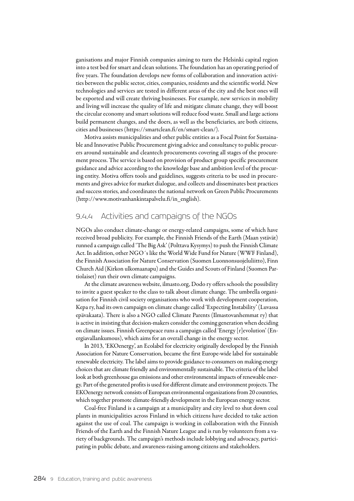ganisations and major Finnish companies aiming to turn the Helsinki capital region into a test bed for smart and clean solutions. The foundation has an operating period of five years. The foundation develops new forms of collaboration and innovation activities between the public sector, cities, companies, residents and the scientific world. New technologies and services are tested in different areas of the city and the best ones will be exported and will create thriving businesses. For example, new services in mobility and living will increase the quality of life and mitigate climate change, they will boost the circular economy and smart solutions will reduce food waste. Small and large actions build permanent changes, and the doers, as well as the beneficiaries, are both citizens, cities and businesses (https://smartclean.fi/en/smart-clean/).

Motiva assists municipalities and other public entities as a Focal Point for Sustainable and Innovative Public Procurement giving advice and consultancy to public procurers around sustainable and cleantech procurements covering all stages of the procurement process. The service is based on provision of product group specific procurement guidance and advice according to the knowledge base and ambition level of the procuring entity. Motiva offers tools and guidelines, suggests criteria to be used in procurements and gives advice for market dialogue, and collects and disseminates best practices and success stories, and coordinates the national network on Green Public Procurements (http://www.motivanhankintapalvelu.fi/in\_english).

# 9.4.4 Activities and campaigns of the NGOs

NGOs also conduct climate-change or energy-related campaigns, some of which have received broad publicity. For example, the Finnish Friends of the Earth (Maan ystävät) runned a campaign called 'The Big Ask' (Polttava Kysymys) to push the Finnish Climate Act. In addition, other NGO´s like the World Wide Fund for Nature (WWF Finland), the Finnish Association for Nature Conservation (Suomen Luonnonsuojeluliitto), Finn Church Aid (Kirkon ulkomaanapu) and the Guides and Scouts of Finland (Suomen Partiolaiset) run their own climate campaigns.

At the climate awareness website, ilmasto.org, Dodo ry offers schools the possibility to invite a guest speaker to the class to talk about climate change. The umbrella organisation for Finnish civil society organisations who work with development cooperation, Kepa ry, had its own campaign on climate change called 'Expecting Instability' (Luvassa epävakaata). There is also a NGO called Climate Parents (Ilmastovanhemmat ry) that is active in insisting that decision-makers consider the coming generation when deciding on climate issues. Finnish Greenpeace runs a campaign called 'Energy [r]evolution' (Energiavallankumous), which aims for an overall change in the energy sector.

In 2013, 'EKOenergy', an Ecolabel for electricity originally developed by the Finnish Association for Nature Conservation, became the first Europe-wide label for sustainable renewable electricity. The label aims to provide guidance to consumers on making energy choices that are climate friendly and environmentally sustainable. The criteria of the label look at both greenhouse gas emissions and other environmental impacts of renewable energy. Part of the generated profits is used for different climate and environment projects. The EKOenergy network consists of European environmental organizations from 20 countries, which together promote climate-friendly development in the European energy sector.

Coal-free Finland is a campaign at a municipality and city level to shut down coal plants in municipalities across Finland in which citizens have decided to take action against the use of coal. The campaign is working in collaboration with the Finnish Friends of the Earth and the Finnish Nature League and is run by volunteers from a variety of backgrounds. The campaign's methods include lobbying and advocacy, participating in public debate, and awareness-raising among citizens and stakeholders.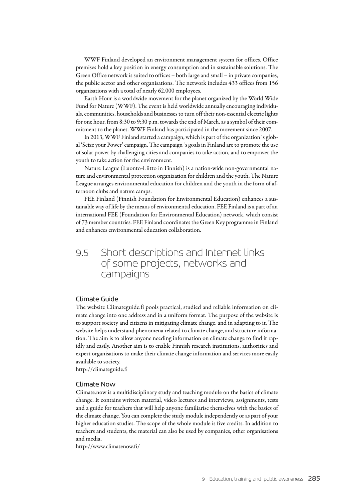WWF Finland developed an environment management system for offices. Office premises hold a key position in energy consumption and in sustainable solutions. The Green Office network is suited to offices – both large and small – in private companies, the public sector and other organisations. The network includes 433 offices from 156 organisations with a total of nearly 62,000 employees.

Earth Hour is a worldwide movement for the planet organized by the World Wide Fund for Nature (WWF). The event is held worldwide annually encouraging individuals, communities, households and businesses to turn off their non-essential electric lights for one hour, from 8:30 to 9:30 p.m. towards the end of March, as a symbol of their commitment to the planet. WWF Finland has participated in the movement since 2007.

In 2013, WWF Finland started a campaign, which is part of the organization´s global 'Seize your Power' campaign. The campaign´s goals in Finland are to promote the use of solar power by challenging cities and companies to take action, and to empower the youth to take action for the environment.

Nature League (Luonto-Liitto in Finnish) is a nation-wide non-governmental nature and environmental protection organization for children and the youth. The Nature League arranges environmental education for children and the youth in the form of afternoon clubs and nature camps.

FEE Finland (Finnish Foundation for Environmental Education) enhances a sustainable way of life by the means of environmental education. FEE Finland is a part of an international FEE (Foundation for Environmental Education) network, which consist of 73 member countries. FEE Finland coordinates the Green Key programme in Finland and enhances environmental education collaboration.

# 9.5 Short descriptions and Internet links of some projects, networks and campaigns

# Climate Guide

The website Climateguide.fi pools practical, studied and reliable information on climate change into one address and in a uniform format. The purpose of the website is to support society and citizens in mitigating climate change, and in adapting to it. The website helps understand phenomena related to climate change, and structure information. The aim is to allow anyone needing information on climate change to find it rapidly and easily. Another aim is to enable Finnish research institutions, authorities and expert organisations to make their climate change information and services more easily available to society.

http://climateguide.fi

### Climate Now

Climate.now is a multidisciplinary study and teaching module on the basics of climate change. It contains written material, video lectures and interviews, assignments, tests and a guide for teachers that will help anyone familiarise themselves with the basics of the climate change. You can complete the study module independently or as part of your higher education studies. The scope of the whole module is five credits. In addition to teachers and students, the material can also be used by companies, other organisations and media.

http://www.climatenow.fi/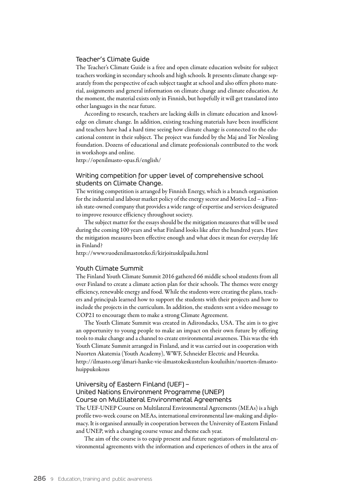# Teacher's Climate Guide

The Teacher's Climate Guide is a free and open climate education website for subject teachers working in secondary schools and high schools. It presents climate change separately from the perspective of each subject taught at school and also offers photo material, assignments and general information on climate change and climate education. At the moment, the material exists only in Finnish, but hopefully it will get translated into other languages in the near future.

According to research, teachers are lacking skills in climate education and knowledge on climate change. In addition, existing teaching materials have been insufficient and teachers have had a hard time seeing how climate change is connected to the educational content in their subject. The project was funded by the Maj and Tor Nessling foundation. Dozens of educational and climate professionals contributed to the work in workshops and online.

http://openilmasto-opas.fi/english/

# Writing competition for upper level of comprehensive school students on Climate Change.

The writing competition is arranged by Finnish Energy, which is a branch organisation for the industrial and labour market policy of the energy sector and Motiva Ltd – a Finnish state-owned company that provides a wide range of expertise and services designated to improve resource efficiency throughout society.

The subject matter for the essays should be the mitigation measures that will be used during the coming 100 years and what Finland looks like after the hundred years. Have the mitigation measures been effective enough and what does it mean for everyday life in Finland?

http://www.vuodenilmastoteko.fi/kirjoituskilpailu.html

#### Youth Climate Summit

The Finland Youth Climate Summit 2016 gathered 66 middle school students from all over Finland to create a climate action plan for their schools. The themes were energy efficiency, renewable energy and food. While the students were creating the plans, teachers and principals learned how to support the students with their projects and how to include the projects in the curriculum. In addition, the students sent a video message to COP21 to encourage them to make a strong Climate Agreement.

The Youth Climate Summit was created in Adirondacks, USA. The aim is to give an opportunity to young people to make an impact on their own future by offering tools to make change and a channel to create environmental awareness. This was the 4th Youth Climate Summit arranged in Finland, and it was carried out in cooperation with Nuorten Akatemia (Youth Academy), WWF, Schneider Electric and Heureka. [http://ilmasto.org/ilmari-hanke-vie-ilmastokeskustelun-kouluihin/nuorten-ilmasto-](http://ilmasto.org/ilmari-hanke-vie-ilmastokeskustelun-kouluihin/nuorten-ilmastohuippukokous)

[huippukokous](http://ilmasto.org/ilmari-hanke-vie-ilmastokeskustelun-kouluihin/nuorten-ilmastohuippukokous)

# University of Eastern Finland (UEF) – United Nations Environment Programme (UNEP) Course on Multilateral Environmental Agreements

The UEF-UNEP Course on Multilateral Environmental Agreements (MEAs) is a high profile two-week course on MEAs, international environmental law-making and diplomacy. It is organised annually in cooperation between the University of Eastern Finland and UNEP, with a changing course venue and theme each year.

The aim of the course is to equip present and future negotiators of multilateral environmental agreements with the information and experiences of others in the area of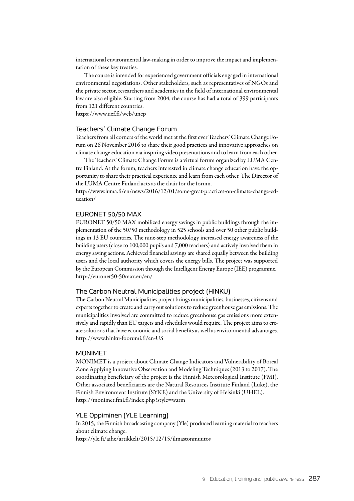international environmental law-making in order to improve the impact and implementation of these key treaties.

The course is intended for experienced government officials engaged in international environmental negotiations. Other stakeholders, such as representatives of NGOs and the private sector, researchers and academics in the field of international environmental law are also eligible. Starting from 2004, the course has had a total of 399 participants from 121 different countries.

https://www.uef.fi/web/unep

### Teachers' Climate Change Forum

Teachers from all corners of the world met at the first ever Teachers' Climate Change Forum on 26 November 2016 to share their good practices and innovative approaches on climate change education via inspiring video presentations and to learn from each other.

The Teachers' Climate Change Forum is a virtual forum organized by LUMA Centre Finland. At the forum, teachers interested in climate change education have the opportunity to share their practical experience and learn from each other. The Director of the LUMA Centre Finland acts as the chair for the forum.

[http://www.luma.fi/en/news/2016/12/01/some-great-practices-on-climate-change-ed](http://www.luma.fi/en/news/2016/12/01/some-great-practices-on-climate-change-education/)[ucation/](http://www.luma.fi/en/news/2016/12/01/some-great-practices-on-climate-change-education/)

### EURONET 50/50 MAX

EURONET 50/50 MAX mobilized energy savings in public buildings through the implementation of the 50/50 methodology in 525 schools and over 50 other public buildings in 13 EU countries. The nine-step methodology increased energy awareness of the building users (close to 100,000 pupils and 7,000 teachers) and actively involved them in energy saving actions. Achieved financial savings are shared equally between the building users and the local authority which covers the energy bills. The project was supported by the European Commission through the Intelligent Energy Europe (IEE) programme. http://euronet50-50max.eu/en/

### The Carbon Neutral Municipalities project (HINKU)

The Carbon Neutral Municipalities project brings municipalities, businesses, citizens and experts together to create and carry out solutions to reduce greenhouse gas emissions. The municipalities involved are committed to reduce greenhouse gas emissions more extensively and rapidly than EU targets and schedules would require. The project aims to create solutions that have economic and social benefits as well as environmental advantages. http://www.hinku-foorumi.fi/en-US

### MONIMET

MONIMET is a project about Climate Change Indicators and Vulnerability of Boreal Zone Applying Innovative Observation and Modeling Techniques (2013 to 2017). The coordinating beneficiary of the project is the Finnish Meteorological Institute (FMI). Other associated beneficiaries are the Natural Resources Institute Finland (Luke), the Finnish Environment Institute (SYKE) and the University of Helsinki (UHEL). http://monimet.fmi.fi/index.php?style=warm

### YLE Oppiminen (YLE Learning)

In 2015, the Finnish broadcasting company (Yle) produced learning material to teachers about climate change. http://yle.fi/aihe/artikkeli/2015/12/15/ilmastonmuutos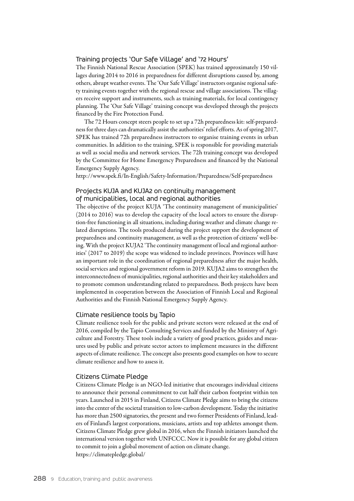### Training projects 'Our Safe Village' and '72 Hours'

The Finnish National Rescue Association (SPEK) has trained approximately 150 villages during 2014 to 2016 in preparedness for different disruptions caused by, among others, abrupt weather events. The 'Our Safe Village' instructors organise regional safety training events together with the regional rescue and village associations. The villagers receive support and instruments, such as training materials, for local contingency planning. The 'Our Safe Village' training concept was developed through the projects financed by the Fire Protection Fund.

The 72 Hours concept steers people to set up a 72h preparedness kit: self-preparedness for three days can dramatically assist the authorities' relief efforts. As of spring 2017, SPEK has trained 72h preparedness instructors to organise training events in urban communities. In addition to the training, SPEK is responsible for providing materials as well as social media and network services. The 72h training concept was developed by the Committee for Home Emergency Preparedness and financed by the National Emergency Supply Agency.

http://www.spek.fi/In-English/Safety-Information/Preparedness/Self-preparedness

# Projects KUJA and KUJA2 on continuity management of municipalities, local and regional authorities

The objective of the project KUJA 'The continuity management of municipalities' (2014 to 2016) was to develop the capacity of the local actors to ensure the disruption-free functioning in all situations, including during weather and climate change related disruptions. The tools produced during the project support the development of preparedness and continuity management, as well as the protection of citizens' well-being. With the project KUJA2 'The continuity management of local and regional authorities' (2017 to 2019) the scope was widened to include provinces. Provinces will have an important role in the coordination of regional preparedness after the major health, social services and regional government reform in 2019. KUJA2 aims to strengthen the interconnectedness of municipalities, regional authorities and their key stakeholders and to promote common understanding related to preparedness. Both projects have been implemented in cooperation between the Association of Finnish Local and Regional Authorities and the Finnish National Emergency Supply Agency.

### Climate resilience tools by Tapio

Climate resilience tools for the public and private sectors were released at the end of 2016, compiled by the Tapio Consulting Services and funded by the Ministry of Agriculture and Forestry. These tools include a variety of good practices, guides and measures used by public and private sector actors to implement measures in the different aspects of climate resilience. The concept also presents good examples on how to secure climate resilience and how to assess it.

### Citizens Climate Pledge

Citizens Climate Pledge is an NGO-led initiative that encourages individual citizens to announce their personal commitment to cut half their carbon footprint within ten years. Launched in 2015 in Finland, Citizens Climate Pledge aims to bring the citizens into the center of the societal transition to low-carbon development. Today the initiative has more than 2500 signatories, the present and two former Presidents of Finland, leaders of Finland's largest corporations, musicians, artists and top athletes amongst them. Citizens Climate Pledge grew global in 2016, when the Finnish initiators launched the international version together with UNFCCC. Now it is possible for any global citizen to commit to join a global movement of action on climate change. https://climatepledge.global/